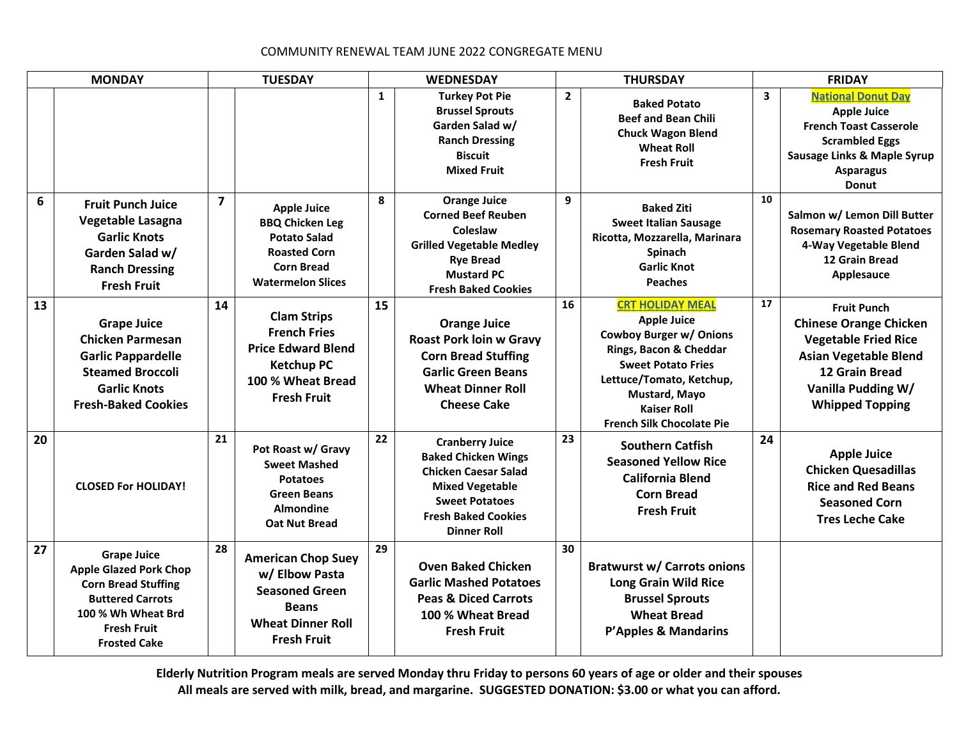## COMMUNITY RENEWAL TEAM JUNE 2022 CONGREGATE MENU

| <b>MONDAY</b> |                                                                                                                                                                                 | <b>TUESDAY</b> |                                                                                                                                             | <b>WEDNESDAY</b> |                                                                                                                                                                                            | <b>THURSDAY</b> |                                                                                                                                                                                                                                               | <b>FRIDAY</b>           |                                                                                                                                                                                         |
|---------------|---------------------------------------------------------------------------------------------------------------------------------------------------------------------------------|----------------|---------------------------------------------------------------------------------------------------------------------------------------------|------------------|--------------------------------------------------------------------------------------------------------------------------------------------------------------------------------------------|-----------------|-----------------------------------------------------------------------------------------------------------------------------------------------------------------------------------------------------------------------------------------------|-------------------------|-----------------------------------------------------------------------------------------------------------------------------------------------------------------------------------------|
|               |                                                                                                                                                                                 |                |                                                                                                                                             | 1                | <b>Turkey Pot Pie</b><br><b>Brussel Sprouts</b><br>Garden Salad w/<br><b>Ranch Dressing</b><br><b>Biscuit</b><br><b>Mixed Fruit</b>                                                        | $\mathbf{2}$    | <b>Baked Potato</b><br><b>Beef and Bean Chili</b><br><b>Chuck Wagon Blend</b><br><b>Wheat Roll</b><br><b>Fresh Fruit</b>                                                                                                                      | $\overline{\mathbf{3}}$ | <b>National Donut Day</b><br><b>Apple Juice</b><br><b>French Toast Casserole</b><br><b>Scrambled Eggs</b><br><b>Sausage Links &amp; Maple Syrup</b><br><b>Asparagus</b><br><b>Donut</b> |
| 6             | <b>Fruit Punch Juice</b><br>Vegetable Lasagna<br><b>Garlic Knots</b><br>Garden Salad w/<br><b>Ranch Dressing</b><br><b>Fresh Fruit</b>                                          | $\overline{7}$ | <b>Apple Juice</b><br><b>BBQ Chicken Leg</b><br><b>Potato Salad</b><br><b>Roasted Corn</b><br><b>Corn Bread</b><br><b>Watermelon Slices</b> | 8                | <b>Orange Juice</b><br><b>Corned Beef Reuben</b><br>Coleslaw<br><b>Grilled Vegetable Medley</b><br><b>Rye Bread</b><br><b>Mustard PC</b><br><b>Fresh Baked Cookies</b>                     | 9               | <b>Baked Ziti</b><br><b>Sweet Italian Sausage</b><br>Ricotta, Mozzarella, Marinara<br>Spinach<br><b>Garlic Knot</b><br><b>Peaches</b>                                                                                                         | 10                      | Salmon w/ Lemon Dill Butter<br><b>Rosemary Roasted Potatoes</b><br>4-Way Vegetable Blend<br>12 Grain Bread<br>Applesauce                                                                |
| 13            | <b>Grape Juice</b><br><b>Chicken Parmesan</b><br><b>Garlic Pappardelle</b><br><b>Steamed Broccoli</b><br><b>Garlic Knots</b><br><b>Fresh-Baked Cookies</b>                      | 14             | <b>Clam Strips</b><br><b>French Fries</b><br><b>Price Edward Blend</b><br><b>Ketchup PC</b><br>100 % Wheat Bread<br><b>Fresh Fruit</b>      | 15               | <b>Orange Juice</b><br><b>Roast Pork loin w Gravy</b><br><b>Corn Bread Stuffing</b><br><b>Garlic Green Beans</b><br><b>Wheat Dinner Roll</b><br><b>Cheese Cake</b>                         | 16              | <b>CRT HOLIDAY MEAL</b><br><b>Apple Juice</b><br><b>Cowboy Burger w/ Onions</b><br>Rings, Bacon & Cheddar<br><b>Sweet Potato Fries</b><br>Lettuce/Tomato, Ketchup,<br>Mustard, Mayo<br><b>Kaiser Roll</b><br><b>French Silk Chocolate Pie</b> | 17                      | <b>Fruit Punch</b><br><b>Chinese Orange Chicken</b><br><b>Vegetable Fried Rice</b><br><b>Asian Vegetable Blend</b><br>12 Grain Bread<br>Vanilla Pudding W/<br><b>Whipped Topping</b>    |
| 20            | <b>CLOSED For HOLIDAY!</b>                                                                                                                                                      | 21             | Pot Roast w/ Gravy<br><b>Sweet Mashed</b><br><b>Potatoes</b><br><b>Green Beans</b><br><b>Almondine</b><br><b>Oat Nut Bread</b>              | 22               | <b>Cranberry Juice</b><br><b>Baked Chicken Wings</b><br><b>Chicken Caesar Salad</b><br><b>Mixed Vegetable</b><br><b>Sweet Potatoes</b><br><b>Fresh Baked Cookies</b><br><b>Dinner Roll</b> | 23              | <b>Southern Catfish</b><br><b>Seasoned Yellow Rice</b><br><b>California Blend</b><br><b>Corn Bread</b><br><b>Fresh Fruit</b>                                                                                                                  | 24                      | <b>Apple Juice</b><br><b>Chicken Quesadillas</b><br><b>Rice and Red Beans</b><br><b>Seasoned Corn</b><br><b>Tres Leche Cake</b>                                                         |
| 27            | <b>Grape Juice</b><br><b>Apple Glazed Pork Chop</b><br><b>Corn Bread Stuffing</b><br><b>Buttered Carrots</b><br>100 % Wh Wheat Brd<br><b>Fresh Fruit</b><br><b>Frosted Cake</b> | 28             | <b>American Chop Suey</b><br>w/ Elbow Pasta<br><b>Seasoned Green</b><br><b>Beans</b><br><b>Wheat Dinner Roll</b><br><b>Fresh Fruit</b>      | 29               | <b>Oven Baked Chicken</b><br><b>Garlic Mashed Potatoes</b><br><b>Peas &amp; Diced Carrots</b><br>100 % Wheat Bread<br><b>Fresh Fruit</b>                                                   | 30              | <b>Bratwurst w/ Carrots onions</b><br><b>Long Grain Wild Rice</b><br><b>Brussel Sprouts</b><br><b>Wheat Bread</b><br><b>P'Apples &amp; Mandarins</b>                                                                                          |                         |                                                                                                                                                                                         |

**Elderly Nutrition Program meals are served Monday thru Friday to persons 60 years of age or older and their spouses All meals are served with milk, bread, and margarine. SUGGESTED DONATION: \$3.00 or what you can afford.**